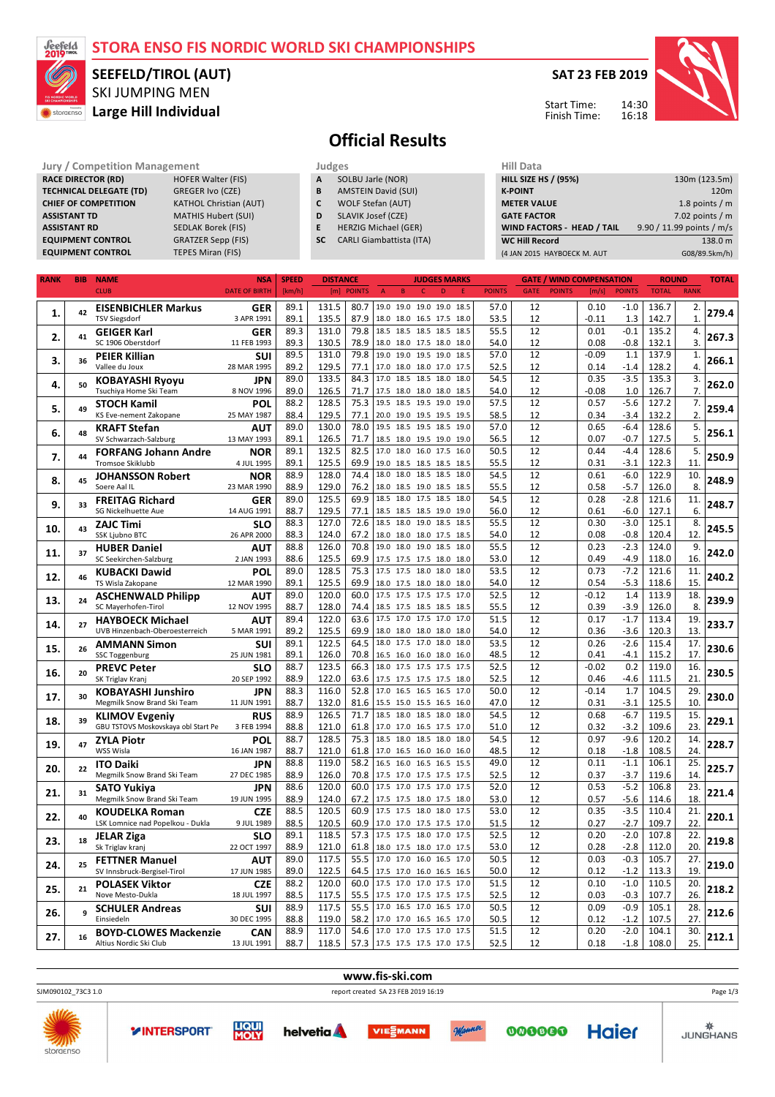### **STORA ENSO FIS NORDIC WORLD SKI CHAMPIONSHIPS**



## SKI JUMPING MEN **Large Hill Individual SEEFELD/TIROL (AUT)**



Start Time: Finish Time: 14:30 16:18



# **Official Results**

**A** SOLBU Jarle (NOR)

**C** WOLF Stefan (AUT) **D** SLAVIK Josef (CZE) **E** HERZIG Michael (GER) **SC** CARLI Giambattista (ITA)

#### **Jury / Competition Management Judges Hill Data**<br> **RACE DIRECTOR (RD)** HOFER Walter (FIS) **A** SOLBU Jarle (NOR) **HILL SIZE H RACE DIRECTOR (RD)** HOFER Walter (FISTECHNICAL DELEGATE (TD) GREGER Ivo (CZE) **TECHNICAL DELEGATE (TD) CHIEF OF COMPETITION** KATHOL Christian (AUT)

**ASSISTANT TD** MATHIS Hubert (SUI) **ASSISTANT RD** SEDLAK Borek (FIS) **EQUIPMENT CONTROL** GRATZER Sepp (FIS) **EQUIPMENT CONTROL** TEPES Miran (FIS)

| ges                        |  |
|----------------------------|--|
| SOLBU Jarle (NOR)          |  |
| <b>AMSTEIN David (SUI)</b> |  |



| <b>RANK</b> | <b>BIB</b> | <b>NAME</b>                                              | <b>NSA</b>               | <b>SPEED</b><br><b>DISTANCE</b> |       | <b>JUDGES MARKS</b> |                                  |                                                 |      |               | <b>GATE / WIND COMPENSATION</b> |               |              |                  | <b>ROUND</b> |                        |       |
|-------------|------------|----------------------------------------------------------|--------------------------|---------------------------------|-------|---------------------|----------------------------------|-------------------------------------------------|------|---------------|---------------------------------|---------------|--------------|------------------|--------------|------------------------|-------|
|             |            | <b>CLUB</b>                                              | <b>DATE OF BIRTH</b>     | [km/h]                          |       | [m] POINTS          | $\overline{B}$<br>$\overline{A}$ | D<br>c                                          | F    | <b>POINTS</b> | <b>GATE</b>                     | <b>POINTS</b> | [m/s]        | <b>POINTS</b>    | <b>TOTAL</b> | <b>RANK</b>            |       |
|             |            | <b>EISENBICHLER Markus</b>                               | <b>GER</b>               | 89.1                            | 131.5 | 80.7                |                                  | 19.0 19.0 19.0 19.0 18.5                        |      | 57.0          | 12                              |               | 0.10         | $-1.0$           | 136.7        | 2.                     |       |
| 1.          | 42         | <b>TSV Siegsdorf</b>                                     | 3 APR 1991               | 89.1                            | 135.5 | 87.9                |                                  | 18.0 18.0 16.5 17.5                             | 18.0 | 53.5          | 12                              |               | $-0.11$      | 1.3              | 142.7        | $\mathbf{1}$           | 279.4 |
|             |            |                                                          | <b>GER</b>               | 89.3                            | 131.0 | 79.8                |                                  | 18.5 18.5 18.5 18.5 18.5                        |      | 55.5          | 12                              |               | 0.01         | $-0.1$           | 135.2        | 4.                     |       |
| 2.          | 41         | GEIGER Karl<br>SC 1906 Oberstdorf                        | 11 FEB 1993              | 89.3                            | 130.5 | 78.9                |                                  | 18.0 18.0 17.5 18.0 18.0                        |      | 54.0          | 12                              |               | 0.08         | $-0.8$           | 132.1        | 3.                     | 267.3 |
|             |            |                                                          |                          | 89.5                            | 131.0 | 79.8                |                                  | 19.0 19.0 19.5 19.0                             | 18.5 | 57.0          | 12                              |               | $-0.09$      | 1.1              |              |                        |       |
| 3.          | 36         | PEIER Killian                                            | SUI                      |                                 |       |                     |                                  |                                                 |      |               |                                 |               |              |                  | 137.9        | 1.<br>$\overline{4}$ . | 266.1 |
|             |            | Vallee du Joux                                           | 28 MAR 1995              | 89.2                            | 129.5 | 77.1                |                                  | 17.0 18.0 18.0 17.0 17.5<br>17.0 18.5 18.5 18.0 |      | 52.5          | 12                              |               | 0.14         | $-1.4$           | 128.2        |                        |       |
| 4.          | 50         | KOBAYASHI Ryoyu                                          | <b>JPN</b>               | 89.0                            | 133.5 | 84.3                |                                  |                                                 | 18.0 | 54.5          | 12                              |               | 0.35         | $-3.5$           | 135.3        | 3.                     | 262.0 |
|             |            | Tsuchiya Home Ski Team                                   | 8 NOV 1996               | 89.0                            | 126.5 | 71.7                |                                  | 17.5 18.0 18.0 18.0                             | 18.5 | 54.0          | 12                              |               | $-0.08$      | 1.0              | 126.7        | 7.                     |       |
| 5.          | 49         | <b>STOCH Kamil</b>                                       | POL                      | 88.2                            | 128.5 | 75.3                | 19.5                             | 18.5 19.5 19.0                                  | 19.0 | 57.5          | 12                              |               | 0.57         | $-5.6$           | 127.2        | 7.                     | 259.4 |
|             |            | KS Eve-nement Zakopane                                   | 25 MAY 1987              | 88.4                            | 129.5 | 77.1                |                                  | 20.0 19.0 19.5 19.5                             | 19.5 | 58.5          | 12                              |               | 0.34         | $-3.4$           | 132.2        | 2.                     |       |
| 6.          | 48         | KRAFT Stefan                                             | <b>AUT</b>               | 89.0                            | 130.0 | 78.0                |                                  | 19.5 18.5 19.5 18.5                             | 19.0 | 57.0          | 12                              |               | 0.65         | $-6.4$           | 128.6        | 5.                     | 256.1 |
|             |            | SV Schwarzach-Salzburg                                   | 13 MAY 1993              | 89.1                            | 126.5 | 71.7                |                                  | 18.5 18.0 19.5 19.0 19.0                        |      | 56.5          | 12                              |               | 0.07         | -0.7             | 127.5        | 5.                     |       |
| 7.          | 44         | <b>FORFANG Johann Andre</b>                              | <b>NOR</b>               | 89.1                            | 132.5 | 82.5                |                                  | 17.0 18.0 16.0 17.5 16.0                        |      | 50.5          | 12                              |               | 0.44         | $-4.4$           | 128.6        | 5.                     | 250.9 |
|             |            | Tromsoe Skiklubb                                         | 4 JUL 1995               | 89.1                            | 125.5 | 69.9                | 19.0                             | 18.5 18.5 18.5                                  | 18.5 | 55.5          | 12                              |               | 0.31         | $-3.1$           | 122.3        | 11.                    |       |
| 8.          | 45         | <b>JOHANSSON Robert</b>                                  | <b>NOR</b>               | 88.9                            | 128.0 | 74.4                | 18.0<br>18.0                     | 18.5 18.5                                       | 18.0 | 54.5          | 12                              |               | 0.61         | $-6.0$           | 122.9        | 10.                    | 248.9 |
|             |            | Soere Aal IL                                             | 23 MAR 1990              | 88.9                            | 129.0 | 76.2                |                                  | 18.0 18.5 19.0 18.5                             | 18.5 | 55.5          | 12                              |               | 0.58         | $-5.7$           | 126.0        | 8.                     |       |
| 9.          | 33         | <b>FREITAG Richard</b>                                   | <b>GER</b>               | 89.0                            | 125.5 | 69.9                | 18.5                             | 18.0 17.5 18.5                                  | 18.0 | 54.5          | 12                              |               | 0.28         | $-2.8$           | 121.6        | 11.                    | 248.7 |
|             |            | SG Nickelhuette Aue                                      | 14 AUG 1991              | 88.7                            | 129.5 | 77.1                |                                  | 18.5 18.5 18.5 19.0                             | 19.0 | 56.0          | 12                              |               | 0.61         | $-6.0$           | 127.1        | 6.                     |       |
| 10.         | 43         | <b>ZAJC Timi</b>                                         | SLO                      | 88.3                            | 127.0 | 72.6                |                                  | 18.5 18.0 19.0 18.5                             | 18.5 | 55.5          | 12                              |               | 0.30         | $-3.0$           | 125.1        | 8.                     | 245.5 |
|             |            | SSK Ljubno BTC                                           | 26 APR 2000              | 88.3                            | 124.0 | 67.2                |                                  | 18.0 18.0 18.0 17.5                             | 18.5 | 54.0          | 12                              |               | 0.08         | $-0.8$           | 120.4        | 12.                    |       |
|             |            | <b>HUBER Daniel</b>                                      | <b>AUT</b>               | 88.8                            | 126.0 | 70.8                |                                  | 19.0 18.0 19.0 18.5                             | 18.0 | 55.5          | 12                              |               | 0.23         | $-2.3$           | 124.0        | 9.                     |       |
| 11.         | 37         | SC Seekirchen-Salzburg                                   | 2 JAN 1993               | 88.6                            | 125.5 | 69.9                |                                  | 17.5 17.5 17.5 18.0 18.0                        |      | 53.0          | 12                              |               | 0.49         | $-4.9$           | 118.0        | 16.                    | 242.0 |
|             |            | <b>KUBACKI Dawid</b>                                     | POL                      | 89.0                            | 128.5 | 75.3                |                                  | 17.5 17.5 18.0 18.0                             | 18.0 | 53.5          | 12                              |               | 0.73         | $-7.2$           | 121.6        | 11.                    |       |
| 12.         | 46         | TS Wisla Zakopane                                        | 12 MAR 1990              | 89.1                            | 125.5 | 69.9                |                                  | 18.0 17.5 18.0 18.0 18.0                        |      | 54.0          | 12                              |               | 0.54         | $-5.3$           | 118.6        | 15.                    | 240.2 |
|             |            | <b>ASCHENWALD Philipp</b>                                | <b>AUT</b>               | 89.0                            | 120.0 | 60.0                |                                  | 17.5 17.5 17.5 17.5                             | 17.0 | 52.5          | 12                              |               | $-0.12$      | 1.4              | 113.9        | 18.                    |       |
| 13.         | 24         | SC Mayerhofen-Tirol                                      | 12 NOV 1995              | 88.7                            | 128.0 | 74.4                |                                  | 18.5 17.5 18.5 18.5 18.5                        |      | 55.5          | 12                              |               | 0.39         | -3.9             | 126.0        | 8.                     | 239.9 |
|             |            | <b>HAYBOECK Michael</b>                                  | <b>AUT</b>               | 89.4                            | 122.0 | 63.6                |                                  | 17.5 17.0 17.5 17.0                             | 17.0 | 51.5          | 12                              |               | 0.17         | $-1.7$           | 113.4        | 19.                    |       |
| 14.         | 27         | UVB Hinzenbach-Oberoesterreich                           | 5 MAR 1991               | 89.2                            | 125.5 | 69.9                |                                  | 18.0 18.0 18.0 18.0                             | 18.0 | 54.0          | 12                              |               | 0.36         | $-3.6$           | 120.3        | 13.                    | 233.7 |
|             |            | <b>AMMANN Simon</b>                                      | SUI                      | 89.1                            | 122.5 | 64.5                |                                  | 18.0 17.5 17.0 18.0                             | 18.0 | 53.5          | 12                              |               | 0.26         | $-2.6$           | 115.4        | 17.                    |       |
| 15.         | 26         | <b>SSC Toggenburg</b>                                    | 25 JUN 1981              | 89.1                            | 126.0 | 70.8                |                                  | 16.5 16.0 16.0 18.0 16.0                        |      | 48.5          | 12                              |               | 0.41         | $-4.1$           | 115.2        | 17.                    | 230.6 |
|             |            | <b>PREVC Peter</b>                                       | <b>SLO</b>               | 88.7                            | 123.5 | 66.3                |                                  | 18.0 17.5 17.5 17.5                             | 17.5 | 52.5          | 12                              |               | $-0.02$      | 0.2              | 119.0        | 16.                    |       |
| 16.         | 20         | SK Triglav Kranj                                         | 20 SEP 1992              | 88.9                            | 122.0 | 63.6                |                                  | 17.5 17.5 17.5 17.5 18.0                        |      | 52.5          | 12                              |               | 0.46         | $-4.6$           | 111.5        | 21.                    | 230.5 |
|             |            |                                                          | <b>JPN</b>               | 88.3                            | 116.0 | 52.8                |                                  | 17.0 16.5 16.5 16.5 17.0                        |      | 50.0          | 12                              |               | $-0.14$      | 1.7              | 104.5        | 29.                    |       |
| 17.         | 30         | <b>KOBAYASHI Junshiro</b><br>Megmilk Snow Brand Ski Team | 11 JUN 1991              | 88.7                            | 132.0 | 81.6                |                                  | 15.5 15.0 15.5 16.5 16.0                        |      | 47.0          | 12                              |               | 0.31         | $-3.1$           | 125.5        | 10.                    | 230.0 |
|             |            |                                                          |                          |                                 | 126.5 | 71.7                |                                  | 18.5 18.0 18.5 18.0 18.0                        |      | 54.5          | 12                              |               |              |                  |              | 15.                    |       |
| 18.         | 39         | <b>KLIMOV Evgeniy</b>                                    | <b>RUS</b><br>3 FEB 1994 | 88.9<br>88.8                    |       | 61.8                |                                  | 17.0 17.0 16.5 17.5                             |      | 51.0          | 12                              |               | 0.68         | $-6.7$<br>$-3.2$ | 119.5        | 23.                    | 229.1 |
|             |            | GBU TSTOVS Moskovskaya obl Start Pe                      |                          | 88.7                            | 121.0 |                     |                                  |                                                 | 17.0 | 54.5          | 12                              |               | 0.32<br>0.97 | $-9.6$           | 109.6        |                        |       |
| 19.         | 47         | <b>ZYLA Piotr</b>                                        | POL                      |                                 | 128.5 | 75.3                | 18.5                             | 18.0 18.5 18.0                                  | 18.0 |               |                                 |               |              |                  | 120.2        | 14.                    | 228.7 |
|             |            | WSS Wisla                                                | 16 JAN 1987              | 88.7                            | 121.0 | 61.8                |                                  | 17.0 16.5 16.0 16.0 16.0                        |      | 48.5          | 12                              |               | 0.18         | $-1.8$           | 108.5        | 24.                    |       |
| 20.         | 22         | <b>ITO Daiki</b>                                         | <b>JPN</b>               | 88.8                            | 119.0 | 58.2                |                                  | 16.5 16.0 16.5 16.5 15.5                        |      | 49.0          | 12                              |               | 0.11         | $-1.1$           | 106.1        | 25.                    | 225.7 |
|             |            | Megmilk Snow Brand Ski Team                              | 27 DEC 1985              | 88.9                            | 126.0 | 70.8                |                                  | 17.5 17.0 17.5 17.5 17.5                        |      | 52.5          | 12                              |               | 0.37         | $-3.7$           | 119.6        | 14.                    |       |
| 21.         | 31         | SATO Yukiva                                              | <b>JPN</b>               | 88.6                            | 120.0 | 60.0                |                                  | 17.5 17.0 17.5 17.0 17.5                        |      | 52.0          | 12                              |               | 0.53         | $-5.2$           | 106.8        | $\overline{23}$ .      | 221.4 |
|             |            | Megmilk Snow Brand Ski Team                              | 19 JUN 1995              | 88.9                            | 124.0 | 67.2                |                                  | 17.5 17.5 18.0 17.5 18.0                        |      | 53.0          | 12                              |               | 0.57         | $-5.6$           | 114.6        | 18.                    |       |
| 22.         | 40         | KOUDELKA Roman                                           | <b>CZE</b>               | 88.5                            | 120.5 | 60.9                |                                  | 17.5 17.5 18.0 18.0 17.5                        |      | 53.0          | 12                              |               | 0.35         | $-3.5$           | 110.4        | 21.                    | 220.1 |
|             |            | LSK Lomnice nad Popelkou - Dukla                         | 9 JUL 1989               | 88.5                            | 120.5 | 60.9                |                                  | 17.0 17.0 17.5 17.5 17.0                        |      | 51.5          | 12                              |               | 0.27         | $-2.7$           | 109.7        | 22.                    |       |
| 23.         | 18         | <b>JELAR Ziga</b>                                        | <b>SLO</b>               | 89.1                            | 118.5 | 57.3                |                                  | 17.5 17.5 18.0 17.0 17.5                        |      | 52.5          | 12                              |               | 0.20         | $-2.0$           | 107.8        | 22.                    | 219.8 |
|             |            | Sk Triglav kranj                                         | 22 OCT 1997              | 88.9                            | 121.0 | 61.8                |                                  | 18.0 17.5 18.0 17.0 17.5                        |      | 53.0          | 12                              |               | 0.28         | $-2.8$           | 112.0        | 20.                    |       |
| 24.         | 25         | <b>FETTNER Manuel</b>                                    | <b>AUT</b>               | 89.0                            | 117.5 | 55.5                |                                  | 17.0 17.0 16.0 16.5 17.0                        |      | 50.5          | 12                              |               | 0.03         | $-0.3$           | 105.7        | 27.                    | 219.0 |
|             |            | SV Innsbruck-Bergisel-Tirol                              | 17 JUN 1985              | 89.0                            | 122.5 | 64.5                |                                  | 17.5 17.0 16.0 16.5 16.5                        |      | 50.0          | 12                              |               | 0.12         | $-1.2$           | 113.3        | 19.                    |       |
| 25.         | 21         | <b>POLASEK Viktor</b>                                    | <b>CZE</b>               | 88.2                            | 120.0 | 60.0                |                                  | 17.5 17.0 17.0 17.5 17.0                        |      | 51.5          | 12                              |               | 0.10         | $-1.0$           | 110.5        | 20.                    | 218.2 |
|             |            | Nove Mesto-Dukla                                         | 18 JUL 1997              | 88.5                            | 117.5 | 55.5                |                                  | 17.5 17.0 17.5 17.5 17.5                        |      | 52.5          | 12                              |               | 0.03         | $-0.3$           | 107.7        | 26.                    |       |
| 26.         |            | <b>SCHULER Andreas</b>                                   | SUI                      | 88.9                            | 117.5 | 55.5                |                                  | 17.0 16.5 17.0 16.5                             | 17.0 | 50.5          | 12                              |               | 0.09         | $-0.9$           | 105.1        | 28.                    | 212.6 |
|             |            | Einsiedeln                                               | 30 DEC 1995              | 88.8                            | 119.0 | 58.2                |                                  | 17.0 17.0 16.5 16.5 17.0                        |      | 50.5          | 12                              |               | 0.12         | $-1.2$           | 107.5        | 27.                    |       |
| 27.         | 16         | <b>BOYD-CLOWES Mackenzie</b>                             | CAN                      | 88.9                            | 117.0 | 54.6                |                                  | 17.0 17.0 17.5 17.0                             | 17.5 | 51.5          | 12                              |               | 0.20         | $-2.0$           | 104.1        | 30.                    | 212.1 |
|             |            | Altius Nordic Ski Club                                   | 13 JUL 1991              | 88.7                            | 118.5 | 57.3                |                                  | 17.5 17.5 17.5 17.0 17.5                        |      | 52.5          | 12                              |               | 0.18         | $-1.8$           | 108.0        | 25.                    |       |
|             |            |                                                          |                          |                                 |       |                     |                                  |                                                 |      |               |                                 |               |              |                  |              |                        |       |

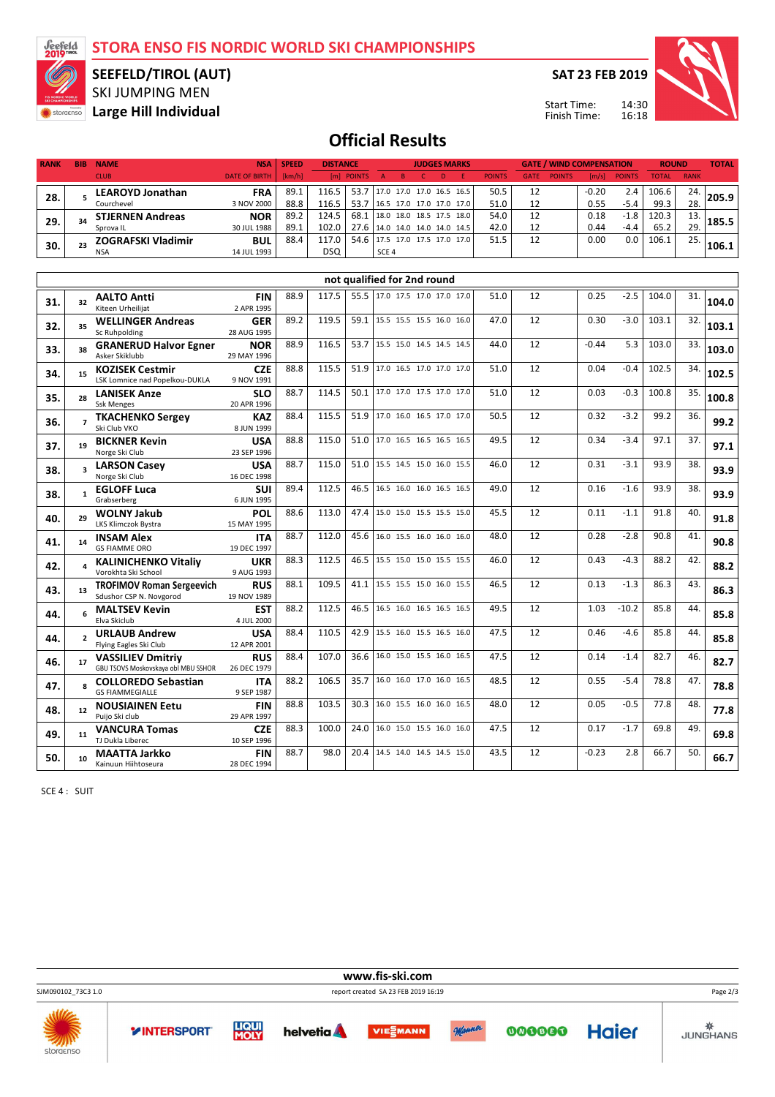**STORA ENSO FIS NORDIC WORLD SKI CHAMPIONSHIPS**



### SKI JUMPING MEN **SEEFELD/TIROL (AUT)**

**Storachso** Large Hill Individual

**SAT 23 FEB 2019**



14:30 16:18 Start Time: Finish Time:

# **Official Results**

| <b>RANK</b> | <b>BIB</b>     | <b>NAME</b>                               | <b>NSA</b>                | <b>SPEED</b><br><b>DISTANCE</b> |            | <b>JUDGES MARKS</b> |                             |              | <b>GATE / WIND COMPENSATION</b> |    |               | <b>ROUND</b> |               | <b>TOTAL</b> |               |              |             |       |
|-------------|----------------|-------------------------------------------|---------------------------|---------------------------------|------------|---------------------|-----------------------------|--------------|---------------------------------|----|---------------|--------------|---------------|--------------|---------------|--------------|-------------|-------|
|             |                | <b>CLUB</b>                               | <b>DATE OF BIRTH</b>      | [km/h]                          |            | [m] POINTS          | B.<br>$\mathsf{A}$          | $\mathsf{C}$ | D                               | E. | <b>POINTS</b> | <b>GATE</b>  | <b>POINTS</b> | [m/s]        | <b>POINTS</b> | <b>TOTAL</b> | <b>RANK</b> |       |
|             | 5              | <b>LEAROYD Jonathan</b>                   | <b>FRA</b>                | 89.1                            | 116.5      | 53.7                | 17.0 17.0 17.0 16.5 16.5    |              |                                 |    | 50.5          | 12           |               | $-0.20$      | 2.4           | 106.6        | 24.         |       |
| 28.         |                | Courchevel                                | 3 NOV 2000                | 88.8                            | 116.5      | 53.7                | 16.5 17.0 17.0 17.0 17.0    |              |                                 |    | 51.0          | 12           |               | 0.55         | $-5.4$        | 99.3         | 28.         | 205.9 |
| 29.         | 34             | <b>STJERNEN Andreas</b>                   | <b>NOR</b>                | 89.2                            | 124.5      | 68.1                | 18.0 18.0 18.5 17.5 18.0    |              |                                 |    | 54.0          | 12           |               | 0.18         | $-1.8$        | 120.3        | 13.         | 185.5 |
|             |                | Sprova IL                                 | 30 JUL 1988               | 89.1                            | 102.0      | 27.6                | 14.0 14.0 14.0 14.0 14.5    |              |                                 |    | 42.0          | 12           |               | 0.44         | $-4.4$        | 65.2         | 29.         |       |
| 30.         | 23             | <b>ZOGRAFSKI Vladimir</b>                 | <b>BUL</b>                | 88.4                            | 117.0      | 54.6                | 17.5 17.0 17.5 17.0 17.0    |              |                                 |    | 51.5          | 12           |               | 0.00         | 0.0           | 106.1        | 25.         | 106.1 |
|             |                | <b>NSA</b>                                | 14 JUL 1993               |                                 | <b>DSQ</b> |                     | SCE 4                       |              |                                 |    |               |              |               |              |               |              |             |       |
|             |                |                                           |                           |                                 |            |                     |                             |              |                                 |    |               |              |               |              |               |              |             |       |
|             |                |                                           |                           |                                 |            |                     | not qualified for 2nd round |              |                                 |    |               |              |               |              |               |              |             |       |
| 31.         | 32             | <b>AALTO Antti</b>                        | <b>FIN</b>                | 88.9                            | 117.5      | 55.5                | 17.0 17.5 17.0 17.0 17.0    |              |                                 |    | 51.0          | 12           |               | 0.25         | $-2.5$        | 104.0        | 31.         | 104.0 |
|             |                | Kiteen Urheilijat                         | 2 APR 1995                |                                 |            |                     |                             |              |                                 |    |               |              |               |              |               |              |             |       |
| 32.         | 35             | <b>WELLINGER Andreas</b><br>Sc Ruhpolding | <b>GER</b><br>28 AUG 1995 | 89.2                            | 119.5      | 59.1                | 15.5 15.5 15.5 16.0 16.0    |              |                                 |    | 47.0          | 12           |               | 0.30         | $-3.0$        | 103.1        | 32.         | 103.1 |
|             |                | <b>GRANERUD Halvor Egner</b>              | <b>NOR</b>                | 88.9                            | 116.5      | 53.7                | 15.5 15.0 14.5 14.5 14.5    |              |                                 |    | 44.0          | 12           |               | $-0.44$      | 5.3           | 103.0        | 33.         |       |
| 33.         | 38             | Asker Skiklubb                            | 29 MAY 1996               |                                 |            |                     |                             |              |                                 |    |               |              |               |              |               |              |             | 103.0 |
|             | 15             | <b>KOZISEK Cestmir</b>                    | <b>CZE</b>                | 88.8                            | 115.5      | 51.9                | 17.0 16.5 17.0 17.0 17.0    |              |                                 |    | 51.0          | 12           |               | 0.04         | $-0.4$        | 102.5        | 34.         |       |
| 34.         |                | LSK Lomnice nad Popelkou-DUKLA            | 9 NOV 1991                |                                 |            |                     |                             |              |                                 |    |               |              |               |              |               |              |             | 102.5 |
| 35.         | 28             | <b>LANISEK Anze</b>                       | <b>SLO</b>                | 88.7                            | 114.5      | 50.1                | 17.0 17.0 17.5 17.0 17.0    |              |                                 |    | 51.0          | 12           |               | 0.03         | $-0.3$        | 100.8        | 35.         | 100.8 |
|             |                | <b>Ssk Menges</b>                         | 20 APR 1996               |                                 |            |                     |                             |              |                                 |    |               |              |               |              |               |              |             |       |
| 36.         |                | <b>TKACHENKO Sergey</b><br>Ski Club VKO   | KAZ<br>8 JUN 1999         | 88.4                            | 115.5      | 51.9                | 17.0 16.0 16.5 17.0 17.0    |              |                                 |    | 50.5          | 12           |               | 0.32         | $-3.2$        | 99.2         | 36.         | 99.2  |
|             |                | <b>BICKNER Kevin</b>                      | <b>USA</b>                | 88.8                            | 115.0      | 51.0                | 17.0 16.5 16.5 16.5 16.5    |              |                                 |    | 49.5          | 12           |               | 0.34         | $-3.4$        | 97.1         | 37.         |       |
| 37.         | 19             | Norge Ski Club                            | 23 SEP 1996               |                                 |            |                     |                             |              |                                 |    |               |              |               |              |               |              |             | 97.1  |
|             | 3              | <b>LARSON Casev</b>                       | <b>USA</b>                | 88.7                            | 115.0      | 51.0                | 15.5 14.5 15.0 16.0 15.5    |              |                                 |    | 46.0          | 12           |               | 0.31         | $-3.1$        | 93.9         | 38.         |       |
| 38.         |                | Norge Ski Club                            | 16 DEC 1998               |                                 |            |                     |                             |              |                                 |    |               |              |               |              |               |              |             | 93.9  |
| 38.         |                | <b>EGLOFF Luca</b>                        | SUI                       | 89.4                            | 112.5      | 46.5                | 16.5 16.0 16.0 16.5 16.5    |              |                                 |    | 49.0          | 12           |               | 0.16         | $-1.6$        | 93.9         | 38.         | 93.9  |
|             |                | Grabserberg                               | 6 JUN 1995                |                                 |            |                     |                             |              |                                 |    |               |              |               |              |               |              |             |       |
| 40.         | 29             | <b>WOLNY Jakub</b><br>LKS Klimczok Bystra | POL<br>15 MAY 1995        | 88.6                            | 113.0      | 47.4                | 15.0 15.0 15.5 15.5 15.0    |              |                                 |    | 45.5          | 12           |               | 0.11         | $-1.1$        | 91.8         | 40.         | 91.8  |
|             |                | <b>INSAM Alex</b>                         | <b>ITA</b>                | 88.7                            | 112.0      | 45.6                | 16.0 15.5 16.0 16.0 16.0    |              |                                 |    | 48.0          | 12           |               | 0.28         | $-2.8$        | 90.8         | 41.         |       |
| 41.         | 14             | <b>GS FIAMME ORO</b>                      | 19 DEC 1997               |                                 |            |                     |                             |              |                                 |    |               |              |               |              |               |              |             | 90.8  |
|             | 4              | <b>KALINICHENKO Vitaliy</b>               | UKR                       | 88.3                            | 112.5      | 46.5                | 15.5 15.0 15.0 15.5 15.5    |              |                                 |    | 46.0          | 12           |               | 0.43         | $-4.3$        | 88.2         | 42.         | 88.2  |
| 42.         |                | Vorokhta Ski School                       | 9 AUG 1993                |                                 |            |                     |                             |              |                                 |    |               |              |               |              |               |              |             |       |
| 43.         | 13             | <b>TROFIMOV Roman Sergeevich</b>          | <b>RUS</b>                | 88.1                            | 109.5      | 41.1                | 15.5 15.5 15.0 16.0 15.5    |              |                                 |    | 46.5          | 12           |               | 0.13         | $-1.3$        | 86.3         | 43.         | 86.3  |
|             |                | Sdushor CSP N. Novgorod                   | 19 NOV 1989               |                                 |            |                     |                             |              |                                 |    |               |              |               |              |               |              |             |       |
| 44.         | 6              | <b>MALTSEV Kevin</b><br>Elva Skiclub      | <b>EST</b><br>4 JUL 2000  | 88.2                            | 112.5      | 46.5                | 16.5 16.0 16.5 16.5 16.5    |              |                                 |    | 49.5          | 12           |               | 1.03         | $-10.2$       | 85.8         | 44.         | 85.8  |
|             |                | <b>URLAUB Andrew</b>                      | <b>USA</b>                | 88.4                            | 110.5      | 42.9                | 15.5 16.0 15.5 16.5 16.0    |              |                                 |    | 47.5          | 12           |               | 0.46         | $-4.6$        | 85.8         | 44.         |       |
| 44.         | $\overline{2}$ | Flying Eagles Ski Club                    | 12 APR 2001               |                                 |            |                     |                             |              |                                 |    |               |              |               |              |               |              |             | 85.8  |
| 46.         | 17             | <b>VASSILIEV Dmitriv</b>                  | <b>RUS</b>                | 88.4                            | 107.0      | 36.6                | 16.0 15.0 15.5 16.0 16.5    |              |                                 |    | 47.5          | 12           |               | 0.14         | $-1.4$        | 82.7         | 46.         | 82.7  |
|             |                | GBU TSOVS Moskovskaya obl MBU SSHOR       | 26 DEC 1979               |                                 |            |                     |                             |              |                                 |    |               |              |               |              |               |              |             |       |
| 47.         | 8              | <b>COLLOREDO Sebastian</b>                | <b>ITA</b>                | 88.2                            | 106.5      | 35.7                | 16.0 16.0 17.0 16.0 16.5    |              |                                 |    | 48.5          | 12           |               | 0.55         | $-5.4$        | 78.8         | 47.         | 78.8  |
|             |                | <b>GS FIAMMEGIALLE</b>                    | 9 SEP 1987                |                                 | 103.5      | 30.3                | 16.0 15.5 16.0 16.0 16.5    |              |                                 |    | 48.0          | 12           |               | 0.05         |               | 77.8         | 48.         |       |
| 48.         | 12             | <b>NOUSIAINEN Eetu</b><br>Puijo Ski club  | <b>FIN</b><br>29 APR 1997 | 88.8                            |            |                     |                             |              |                                 |    |               |              |               |              | $-0.5$        |              |             | 77.8  |
|             |                | <b>VANCURA Tomas</b>                      | <b>CZE</b>                | 88.3                            | 100.0      | 24.0                | 16.0 15.0 15.5 16.0 16.0    |              |                                 |    | 47.5          | 12           |               | 0.17         | $-1.7$        | 69.8         | 49.         |       |
| 49.         | 11             | TJ Dukla Liberec                          | 10 SEP 1996               |                                 |            |                     |                             |              |                                 |    |               |              |               |              |               |              |             | 69.8  |
| 50.         | 10             | <b>MAATTA Jarkko</b>                      | <b>FIN</b>                | 88.7                            | 98.0       | 20.4                | 14.5 14.0 14.5 14.5 15.0    |              |                                 |    | 43.5          | 12           |               | $-0.23$      | 2.8           | 66.7         | 50.         | 66.7  |
|             |                | Kainuun Hiihtoseura                       | 28 DEC 1994               |                                 |            |                     |                             |              |                                 |    |               |              |               |              |               |              |             |       |

SCE 4 : SUIT